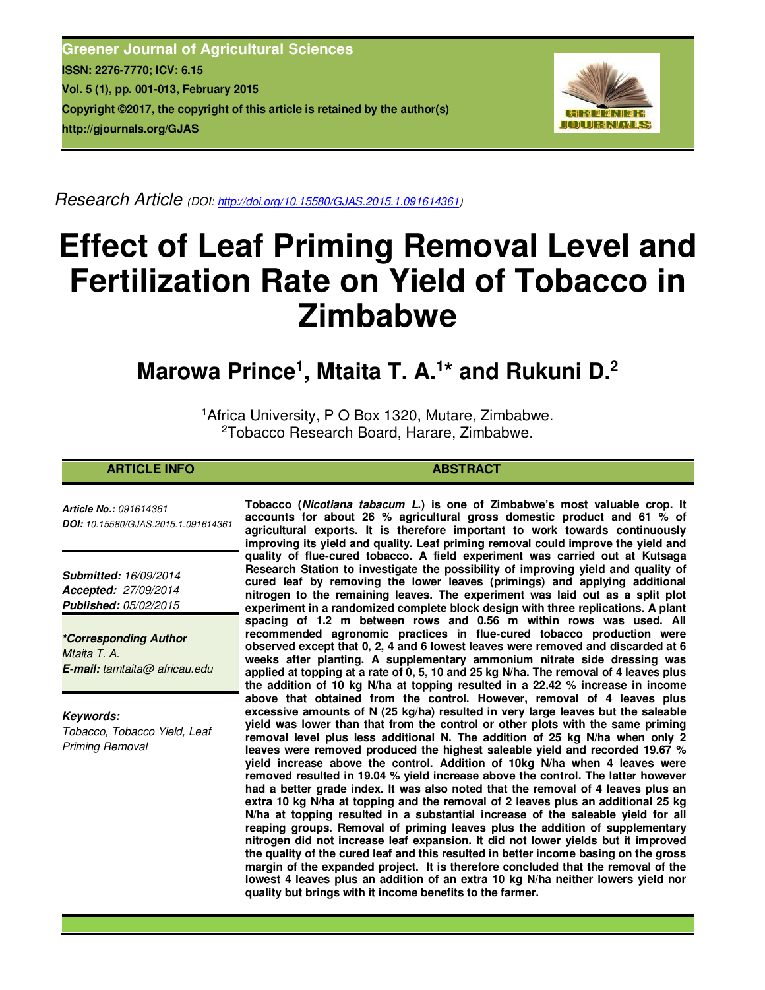**Greener Journal of Agricultural Sciences ISSN: 2276-7770; ICV: 6.15 Vol. 5 (1), pp. 001-013, February 2015 Copyright ©2017, the copyright of this article is retained by the author(s) http://gjournals.org/GJAS**



*Research Article (DOI: http://doi.org/10.15580/GJAS.2015.1.091614361)* 

# **Effect of Leaf Priming Removal Level and Fertilization Rate on Yield of Tobacco in Zimbabwe**

## **Marowa Prince<sup>1</sup> , Mtaita T. A.<sup>1</sup> \* and Rukuni D.<sup>2</sup>**

<sup>1</sup>Africa University, P O Box 1320, Mutare, Zimbabwe. <sup>2</sup>Tobacco Research Board, Harare, Zimbabwe.

#### **ARTICLE INFO ABSTRACT**

*Article No.: 091614361 DOI: 10.15580/GJAS.2015.1.091614361*

*Submitted: 16/09/2014 Accepted: 27/09/2014 Published: 05/02/2015*

*\*Corresponding Author Mtaita T. A. E-mail: tamtaita@ africau.edu*

*Keywords:* 

*Tobacco, Tobacco Yield, Leaf Priming Removal*

**Tobacco (***Nicotiana tabacum L***.) is one of Zimbabwe's most valuable crop. It accounts for about 26 % agricultural gross domestic product and 61 % of agricultural exports. It is therefore important to work towards continuously improving its yield and quality. Leaf priming removal could improve the yield and quality of flue-cured tobacco. A field experiment was carried out at Kutsaga Research Station to investigate the possibility of improving yield and quality of cured leaf by removing the lower leaves (primings) and applying additional nitrogen to the remaining leaves. The experiment was laid out as a split plot experiment in a randomized complete block design with three replications. A plant spacing of 1.2 m between rows and 0.56 m within rows was used. All recommended agronomic practices in flue-cured tobacco production were observed except that 0, 2, 4 and 6 lowest leaves were removed and discarded at 6 weeks after planting. A supplementary ammonium nitrate side dressing was applied at topping at a rate of 0, 5, 10 and 25 kg N/ha. The removal of 4 leaves plus the addition of 10 kg N/ha at topping resulted in a 22.42 % increase in income above that obtained from the control. However, removal of 4 leaves plus excessive amounts of N (25 kg/ha) resulted in very large leaves but the saleable yield was lower than that from the control or other plots with the same priming removal level plus less additional N. The addition of 25 kg N/ha when only 2 leaves were removed produced the highest saleable yield and recorded 19.67 % yield increase above the control. Addition of 10kg N/ha when 4 leaves were removed resulted in 19.04 % yield increase above the control. The latter however had a better grade index. It was also noted that the removal of 4 leaves plus an extra 10 kg N/ha at topping and the removal of 2 leaves plus an additional 25 kg N/ha at topping resulted in a substantial increase of the saleable yield for all reaping groups. Removal of priming leaves plus the addition of supplementary nitrogen did not increase leaf expansion. It did not lower yields but it improved the quality of the cured leaf and this resulted in better income basing on the gross margin of the expanded project. It is therefore concluded that the removal of the lowest 4 leaves plus an addition of an extra 10 kg N/ha neither lowers yield nor quality but brings with it income benefits to the farmer.**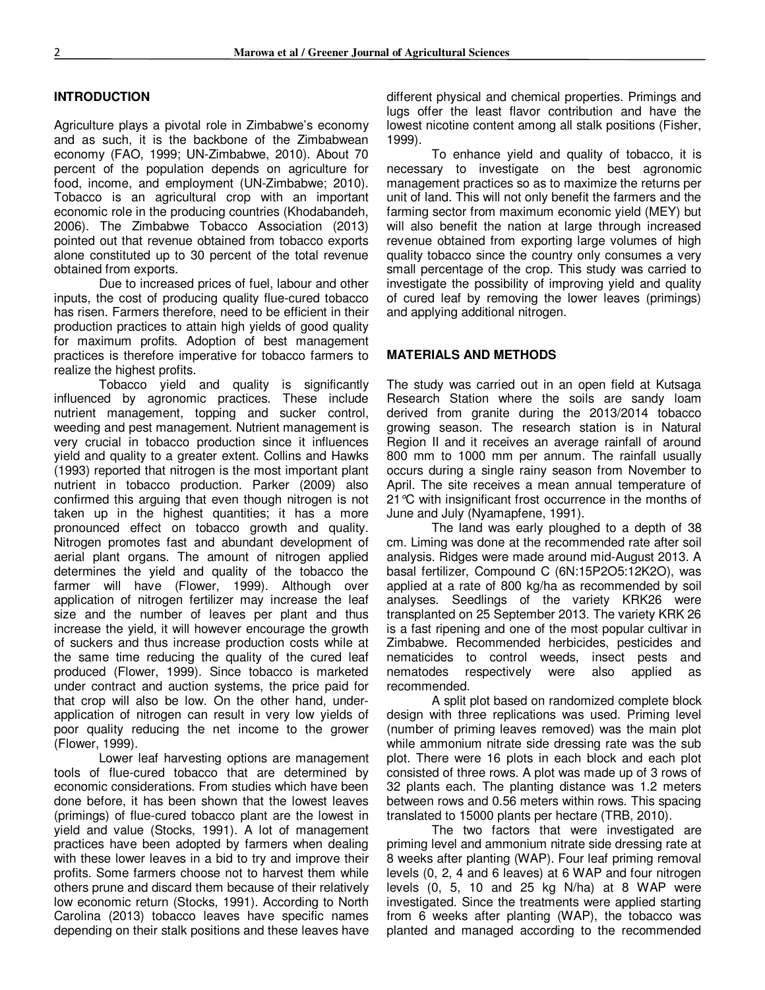#### **INTRODUCTION**

Agriculture plays a pivotal role in Zimbabwe's economy and as such, it is the backbone of the Zimbabwean economy (FAO, 1999; UN-Zimbabwe, 2010). About 70 percent of the population depends on agriculture for food, income, and employment (UN-Zimbabwe; 2010). Tobacco is an agricultural crop with an important economic role in the producing countries (Khodabandeh, 2006). The Zimbabwe Tobacco Association (2013) pointed out that revenue obtained from tobacco exports alone constituted up to 30 percent of the total revenue obtained from exports.

Due to increased prices of fuel, labour and other inputs, the cost of producing quality flue-cured tobacco has risen. Farmers therefore, need to be efficient in their production practices to attain high yields of good quality for maximum profits. Adoption of best management practices is therefore imperative for tobacco farmers to realize the highest profits.

Tobacco yield and quality is significantly influenced by agronomic practices. These include nutrient management, topping and sucker control, weeding and pest management. Nutrient management is very crucial in tobacco production since it influences yield and quality to a greater extent. Collins and Hawks (1993) reported that nitrogen is the most important plant nutrient in tobacco production. Parker (2009) also confirmed this arguing that even though nitrogen is not taken up in the highest quantities; it has a more pronounced effect on tobacco growth and quality. Nitrogen promotes fast and abundant development of aerial plant organs. The amount of nitrogen applied determines the yield and quality of the tobacco the farmer will have (Flower, 1999). Although over application of nitrogen fertilizer may increase the leaf size and the number of leaves per plant and thus increase the yield, it will however encourage the growth of suckers and thus increase production costs while at the same time reducing the quality of the cured leaf produced (Flower, 1999). Since tobacco is marketed under contract and auction systems, the price paid for that crop will also be low. On the other hand, underapplication of nitrogen can result in very low yields of poor quality reducing the net income to the grower (Flower, 1999).

Lower leaf harvesting options are management tools of flue-cured tobacco that are determined by economic considerations. From studies which have been done before, it has been shown that the lowest leaves (primings) of flue-cured tobacco plant are the lowest in yield and value (Stocks, 1991). A lot of management practices have been adopted by farmers when dealing with these lower leaves in a bid to try and improve their profits. Some farmers choose not to harvest them while others prune and discard them because of their relatively low economic return (Stocks, 1991). According to North Carolina (2013) tobacco leaves have specific names depending on their stalk positions and these leaves have

different physical and chemical properties. Primings and lugs offer the least flavor contribution and have the lowest nicotine content among all stalk positions (Fisher, 1999).

To enhance yield and quality of tobacco, it is necessary to investigate on the best agronomic management practices so as to maximize the returns per unit of land. This will not only benefit the farmers and the farming sector from maximum economic yield (MEY) but will also benefit the nation at large through increased revenue obtained from exporting large volumes of high quality tobacco since the country only consumes a very small percentage of the crop. This study was carried to investigate the possibility of improving yield and quality of cured leaf by removing the lower leaves (primings) and applying additional nitrogen.

#### **MATERIALS AND METHODS**

The study was carried out in an open field at Kutsaga Research Station where the soils are sandy loam derived from granite during the 2013/2014 tobacco growing season. The research station is in Natural Region II and it receives an average rainfall of around 800 mm to 1000 mm per annum. The rainfall usually occurs during a single rainy season from November to April. The site receives a mean annual temperature of 21°C with insignificant frost occurrence in the months of June and July (Nyamapfene, 1991).

The land was early ploughed to a depth of 38 cm. Liming was done at the recommended rate after soil analysis. Ridges were made around mid-August 2013. A basal fertilizer, Compound C (6N:15P2O5:12K2O), was applied at a rate of 800 kg/ha as recommended by soil analyses. Seedlings of the variety KRK26 were transplanted on 25 September 2013. The variety KRK 26 is a fast ripening and one of the most popular cultivar in Zimbabwe. Recommended herbicides, pesticides and nematicides to control weeds, insect pests and nematodes respectively were also applied as recommended.

A split plot based on randomized complete block design with three replications was used. Priming level (number of priming leaves removed) was the main plot while ammonium nitrate side dressing rate was the sub plot. There were 16 plots in each block and each plot consisted of three rows. A plot was made up of 3 rows of 32 plants each. The planting distance was 1.2 meters between rows and 0.56 meters within rows. This spacing translated to 15000 plants per hectare (TRB, 2010).

The two factors that were investigated are priming level and ammonium nitrate side dressing rate at 8 weeks after planting (WAP). Four leaf priming removal levels (0, 2, 4 and 6 leaves) at 6 WAP and four nitrogen levels (0, 5, 10 and 25 kg N/ha) at 8 WAP were investigated. Since the treatments were applied starting from 6 weeks after planting (WAP), the tobacco was planted and managed according to the recommended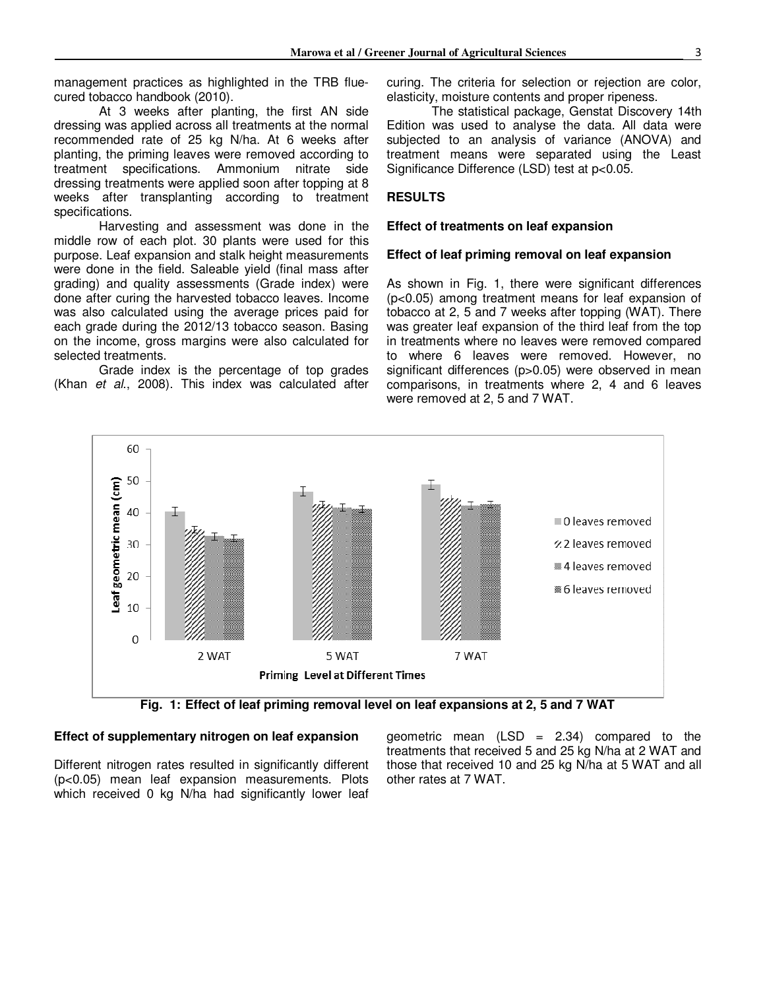management practices as highlighted in the TRB fluecured tobacco handbook (2010).

At 3 weeks after planting, the first AN side dressing was applied across all treatments at the normal recommended rate of 25 kg N/ha. At 6 weeks after planting, the priming leaves were removed according to treatment specifications. Ammonium nitrate side dressing treatments were applied soon after topping at 8 weeks after transplanting according to treatment specifications.

Harvesting and assessment was done in the middle row of each plot. 30 plants were used for this purpose. Leaf expansion and stalk height measurements were done in the field. Saleable yield (final mass after grading) and quality assessments (Grade index) were done after curing the harvested tobacco leaves. Income was also calculated using the average prices paid for each grade during the 2012/13 tobacco season. Basing on the income, gross margins were also calculated for selected treatments.

Grade index is the percentage of top grades (Khan *et al*., 2008). This index was calculated after curing. The criteria for selection or rejection are color, elasticity, moisture contents and proper ripeness.

The statistical package, Genstat Discovery 14th Edition was used to analyse the data. All data were subjected to an analysis of variance (ANOVA) and treatment means were separated using the Least Significance Difference (LSD) test at p<0.05.

#### **RESULTS**

#### **Effect of treatments on leaf expansion**

#### **Effect of leaf priming removal on leaf expansion**

As shown in Fig. 1, there were significant differences (p<0.05) among treatment means for leaf expansion of tobacco at 2, 5 and 7 weeks after topping (WAT). There was greater leaf expansion of the third leaf from the top in treatments where no leaves were removed compared to where 6 leaves were removed. However, no significant differences (p>0.05) were observed in mean comparisons, in treatments where 2, 4 and 6 leaves were removed at 2, 5 and 7 WAT.



**Fig. 1: Effect of leaf priming removal level on leaf expansions at 2, 5 and 7 WAT** 

#### **Effect of supplementary nitrogen on leaf expansion**

Different nitrogen rates resulted in significantly different (p<0.05) mean leaf expansion measurements. Plots which received 0 kg N/ha had significantly lower leaf

geometric mean  $(LSD = 2.34)$  compared to the treatments that received 5 and 25 kg N/ha at 2 WAT and those that received 10 and 25 kg N/ha at 5 WAT and all other rates at 7 WAT.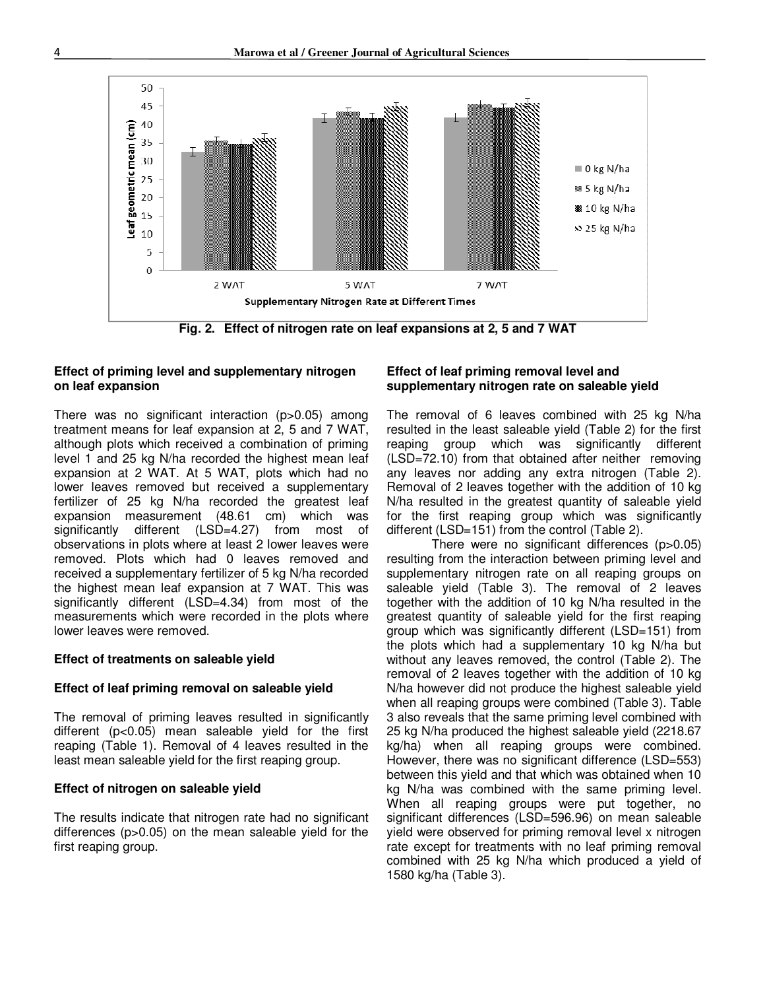

**Fig. 2. Effect of nitrogen rate on leaf expansions at 2, 5 and 7 WAT** 

#### **Effect of priming level and supplementary nitrogen on leaf expansion**

There was no significant interaction (p>0.05) among treatment means for leaf expansion at 2, 5 and 7 WAT, although plots which received a combination of priming level 1 and 25 kg N/ha recorded the highest mean leaf expansion at 2 WAT. At 5 WAT, plots which had no lower leaves removed but received a supplementary fertilizer of 25 kg N/ha recorded the greatest leaf expansion measurement (48.61 cm) which was significantly different (LSD=4.27) from most of observations in plots where at least 2 lower leaves were removed. Plots which had 0 leaves removed and received a supplementary fertilizer of 5 kg N/ha recorded the highest mean leaf expansion at 7 WAT. This was significantly different (LSD=4.34) from most of the measurements which were recorded in the plots where lower leaves were removed.

#### **Effect of treatments on saleable yield**

#### **Effect of leaf priming removal on saleable yield**

The removal of priming leaves resulted in significantly different (p<0.05) mean saleable yield for the first reaping (Table 1). Removal of 4 leaves resulted in the least mean saleable yield for the first reaping group.

#### **Effect of nitrogen on saleable yield**

The results indicate that nitrogen rate had no significant differences (p>0.05) on the mean saleable yield for the first reaping group.

#### **Effect of leaf priming removal level and supplementary nitrogen rate on saleable yield**

The removal of 6 leaves combined with 25 kg N/ha resulted in the least saleable yield (Table 2) for the first reaping group which was significantly different (LSD=72.10) from that obtained after neither removing any leaves nor adding any extra nitrogen (Table 2). Removal of 2 leaves together with the addition of 10 kg N/ha resulted in the greatest quantity of saleable yield for the first reaping group which was significantly different (LSD=151) from the control (Table 2).

There were no significant differences (p>0.05) resulting from the interaction between priming level and supplementary nitrogen rate on all reaping groups on saleable yield (Table 3). The removal of 2 leaves together with the addition of 10 kg N/ha resulted in the greatest quantity of saleable yield for the first reaping group which was significantly different (LSD=151) from the plots which had a supplementary 10 kg N/ha but without any leaves removed, the control (Table 2). The removal of 2 leaves together with the addition of 10 kg N/ha however did not produce the highest saleable yield when all reaping groups were combined (Table 3). Table 3 also reveals that the same priming level combined with 25 kg N/ha produced the highest saleable yield (2218.67 kg/ha) when all reaping groups were combined. However, there was no significant difference (LSD=553) between this yield and that which was obtained when 10 kg N/ha was combined with the same priming level. When all reaping groups were put together, no significant differences (LSD=596.96) on mean saleable yield were observed for priming removal level x nitrogen rate except for treatments with no leaf priming removal combined with 25 kg N/ha which produced a yield of 1580 kg/ha (Table 3).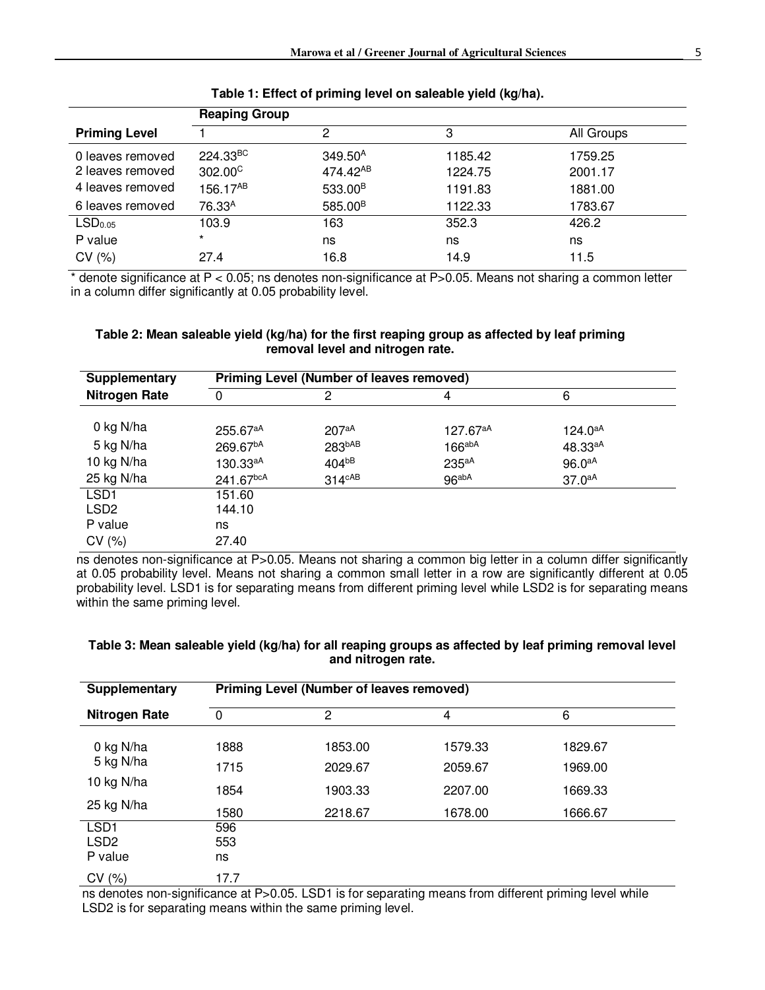|                                      | <b>Reaping Group</b>         |                                             |                    |                    |  |
|--------------------------------------|------------------------------|---------------------------------------------|--------------------|--------------------|--|
| <b>Priming Level</b>                 |                              | 2                                           | 3                  | All Groups         |  |
| 0 leaves removed<br>2 leaves removed | 224.33BC<br>$302.00^{\circ}$ | 349.50 <sup>A</sup><br>474.42 <sup>AB</sup> | 1185.42<br>1224.75 | 1759.25<br>2001.17 |  |
| 4 leaves removed                     | 156.17AB                     | 533.00 <sup>B</sup>                         | 1191.83            | 1881.00            |  |
| 6 leaves removed                     | 76.33 <sup>A</sup>           | 585.00 <sup>B</sup>                         | 1122.33            | 1783.67            |  |
| LSD <sub>0.05</sub>                  | 103.9                        | 163                                         | 352.3              | 426.2              |  |
| P value                              | $\star$                      | ns                                          | ns                 | ns                 |  |
| CV(%)                                | 27.4                         | 16.8                                        | 14.9               | 11.5               |  |

**Table 1: Effect of priming level on saleable yield (kg/ha).** 

\* denote significance at P < 0.05; ns denotes non-significance at P>0.05. Means not sharing a common letter in a column differ significantly at 0.05 probability level.

#### **Table 2: Mean saleable yield (kg/ha) for the first reaping group as affected by leaf priming removal level and nitrogen rate.**

| <b>Supplementary</b> | <b>Priming Level (Number of leaves removed)</b> |                    |                    |                     |  |
|----------------------|-------------------------------------------------|--------------------|--------------------|---------------------|--|
| <b>Nitrogen Rate</b> | 0                                               | 2                  | 4                  | 6                   |  |
|                      |                                                 |                    |                    |                     |  |
| 0 kg N/ha            | 255.67aA                                        | 207aA              | 127.67aA           | $124.0^{aA}$        |  |
| 5 kg N/ha            | 269.67 <sup>bA</sup>                            | 283bAB             | $166^{abA}$        | 48.33 <sup>aA</sup> |  |
| 10 kg N/ha           | 130.33 <sup>aA</sup>                            | 404bB              | 235aA              | $96.0^{aA}$         |  |
| 25 kg N/ha           | 241.67bcA                                       | $314^{\text{cAB}}$ | 96 <sup>abaA</sup> | 37.0 <sup>aA</sup>  |  |
| LSD <sub>1</sub>     | 151.60                                          |                    |                    |                     |  |
| LSD <sub>2</sub>     | 144.10                                          |                    |                    |                     |  |
| P value              | ns                                              |                    |                    |                     |  |
| CV(%)                | 27.40                                           |                    |                    |                     |  |

ns denotes non-significance at P>0.05. Means not sharing a common big letter in a column differ significantly at 0.05 probability level. Means not sharing a common small letter in a row are significantly different at 0.05 probability level. LSD1 is for separating means from different priming level while LSD2 is for separating means within the same priming level.

| <b>Supplementary</b> | <b>Priming Level (Number of leaves removed)</b> |         |         |         |  |
|----------------------|-------------------------------------------------|---------|---------|---------|--|
| <b>Nitrogen Rate</b> | 0                                               | 2       | 4       | 6       |  |
| 0 kg N/ha            | 1888                                            | 1853.00 | 1579.33 | 1829.67 |  |
| 5 kg N/ha            | 1715                                            | 2029.67 | 2059.67 | 1969.00 |  |
| 10 kg N/ha           | 1854                                            | 1903.33 | 2207.00 | 1669.33 |  |
| 25 kg N/ha           | 1580                                            | 2218.67 | 1678.00 | 1666.67 |  |
| LSD <sub>1</sub>     | 596                                             |         |         |         |  |
| LSD <sub>2</sub>     | 553                                             |         |         |         |  |
| P value              | ns                                              |         |         |         |  |
| CV(%)                | 17.7                                            |         |         |         |  |

#### **Table 3: Mean saleable yield (kg/ha) for all reaping groups as affected by leaf priming removal level and nitrogen rate.**

ns denotes non-significance at P>0.05. LSD1 is for separating means from different priming level while LSD2 is for separating means within the same priming level.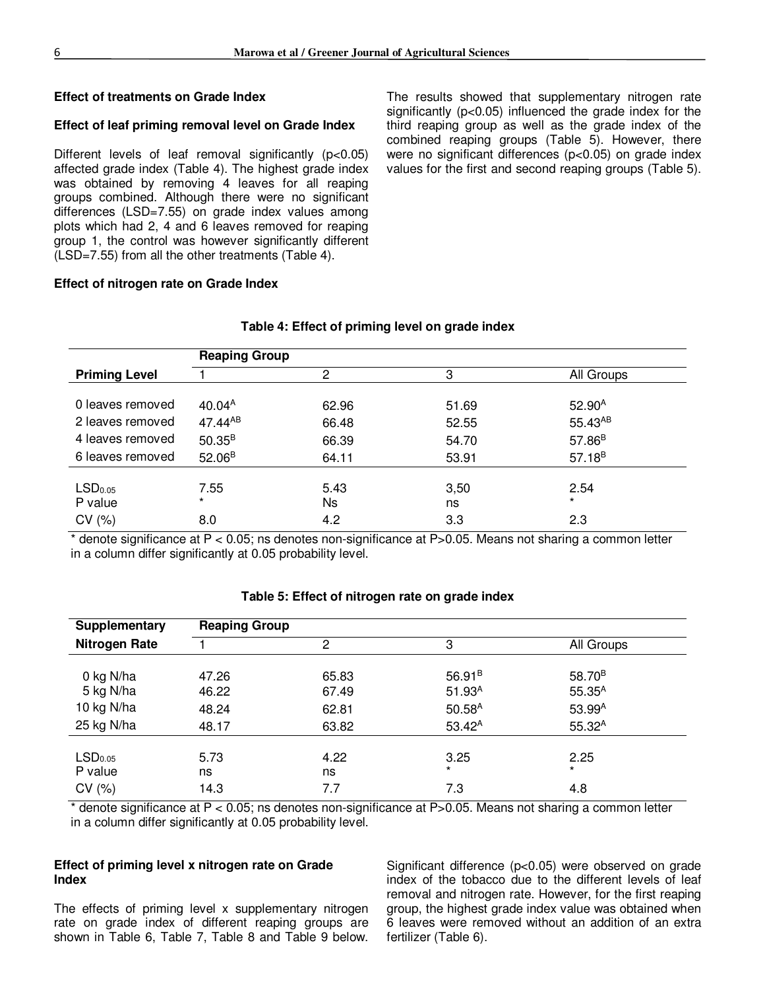#### **Effect of treatments on Grade Index**

#### **Effect of leaf priming removal level on Grade Index**

Different levels of leaf removal significantly (p<0.05) affected grade index (Table 4). The highest grade index was obtained by removing 4 leaves for all reaping groups combined. Although there were no significant differences (LSD=7.55) on grade index values among plots which had 2, 4 and 6 leaves removed for reaping group 1, the control was however significantly different (LSD=7.55) from all the other treatments (Table 4).

The results showed that supplementary nitrogen rate significantly (p<0.05) influenced the grade index for the third reaping group as well as the grade index of the combined reaping groups (Table 5). However, there were no significant differences (p<0.05) on grade index values for the first and second reaping groups (Table 5).

#### **Effect of nitrogen rate on Grade Index**

|                     |                      |       | All Groups         |  |  |
|---------------------|----------------------|-------|--------------------|--|--|
|                     |                      |       |                    |  |  |
| 40.04 <sup>A</sup>  | 62.96                | 51.69 | $52.90^{A}$        |  |  |
| 47.44 <sup>AB</sup> | 66.48                | 52.55 | $55.43^{AB}$       |  |  |
| $50.35^{B}$         | 66.39                | 54.70 | 57.86 <sup>B</sup> |  |  |
| 52.06 <sup>B</sup>  | 64.11                | 53.91 | $57.18^{B}$        |  |  |
|                     |                      |       |                    |  |  |
| 7.55                | 5.43                 | 3,50  | 2.54               |  |  |
| $\star$             | Ns                   | ns    | $\star$            |  |  |
| 8.0                 | 4.2                  | 3.3   | 2.3                |  |  |
|                     | <b>Reaping Group</b> | 2     | 3                  |  |  |

#### **Table 4: Effect of priming level on grade index**

\* denote significance at P < 0.05; ns denotes non-significance at P>0.05. Means not sharing a common letter in a column differ significantly at 0.05 probability level.

|  | Table 5: Effect of nitrogen rate on grade index |  |
|--|-------------------------------------------------|--|
|  |                                                 |  |

| <b>Supplementary</b> | <b>Reaping Group</b> |       |                    |                    |  |
|----------------------|----------------------|-------|--------------------|--------------------|--|
| <b>Nitrogen Rate</b> |                      | 2     | 3                  | All Groups         |  |
|                      |                      |       |                    |                    |  |
| 0 kg N/ha            | 47.26                | 65.83 | $56.91^{B}$        | 58.70 <sup>B</sup> |  |
| 5 kg N/ha            | 46.22                | 67.49 | 51.93 <sup>A</sup> | $55.35^{A}$        |  |
| 10 kg N/ha           | 48.24                | 62.81 | $50.58^{A}$        | 53.99 <sup>A</sup> |  |
| 25 kg N/ha           | 48.17                | 63.82 | $53.42^A$          | $55.32^{A}$        |  |
|                      |                      |       |                    |                    |  |
| LSD <sub>0.05</sub>  | 5.73                 | 4.22  | 3.25               | 2.25               |  |
| P value              | ns                   | ns    | $\star$            | $\star$            |  |
| CV(%)                | 14.3                 | 7.7   | 7.3                | 4.8                |  |

\* denote significance at P < 0.05; ns denotes non-significance at P>0.05. Means not sharing a common letter in a column differ significantly at 0.05 probability level.

#### **Effect of priming level x nitrogen rate on Grade Index**

The effects of priming level x supplementary nitrogen rate on grade index of different reaping groups are shown in Table 6, Table 7, Table 8 and Table 9 below.

Significant difference (p<0.05) were observed on grade index of the tobacco due to the different levels of leaf removal and nitrogen rate. However, for the first reaping group, the highest grade index value was obtained when 6 leaves were removed without an addition of an extra fertilizer (Table 6).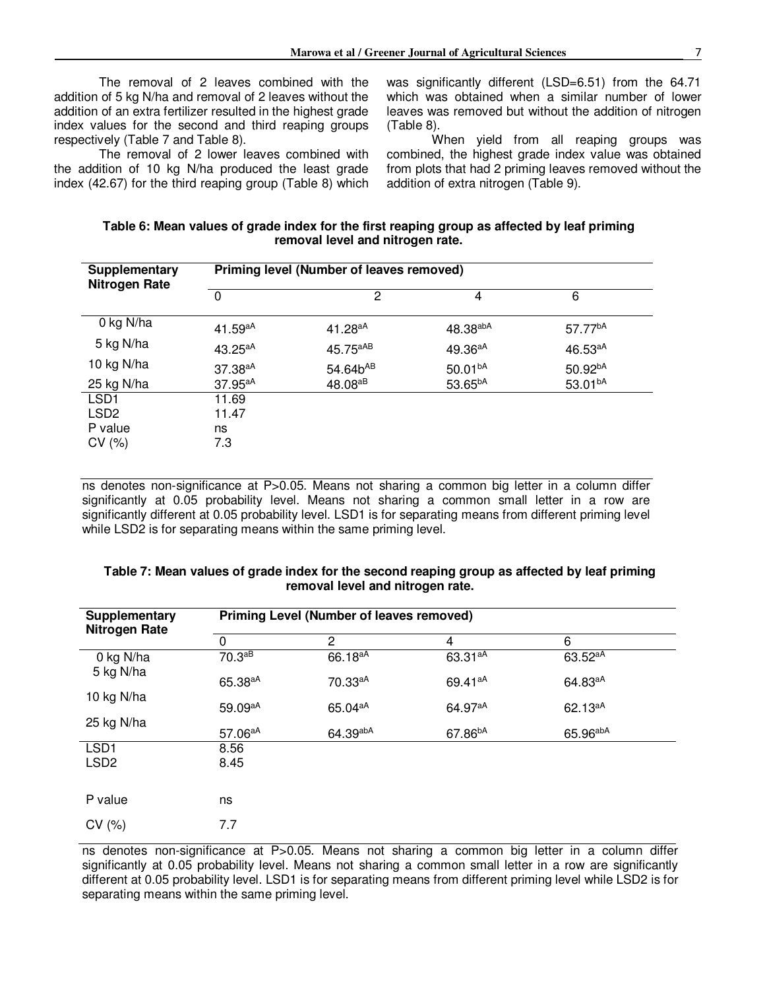The removal of 2 leaves combined with the addition of 5 kg N/ha and removal of 2 leaves without the addition of an extra fertilizer resulted in the highest grade index values for the second and third reaping groups respectively (Table 7 and Table 8).

The removal of 2 lower leaves combined with the addition of 10 kg N/ha produced the least grade index (42.67) for the third reaping group (Table 8) which was significantly different (LSD=6.51) from the 64.71 which was obtained when a similar number of lower leaves was removed but without the addition of nitrogen (Table 8).

When yield from all reaping groups was combined, the highest grade index value was obtained from plots that had 2 priming leaves removed without the addition of extra nitrogen (Table 9).

| Table 6: Mean values of grade index for the first reaping group as affected by leaf priming |
|---------------------------------------------------------------------------------------------|
| removal level and nitrogen rate.                                                            |

| <b>Supplementary</b><br><b>Nitrogen Rate</b> | Priming level (Number of leaves removed) |                      |                     |                     |  |
|----------------------------------------------|------------------------------------------|----------------------|---------------------|---------------------|--|
|                                              | $\Omega$                                 | 2                    | 4                   | 6                   |  |
| 0 kg N/ha                                    | $41.59^{aA}$                             | $41.28^{aA}$         | 48.38abA            | 57.77 <sup>bA</sup> |  |
| 5 kg N/ha                                    | $43.25^{aA}$                             | 45.75 <sup>aAB</sup> | 49.36 <sup>aA</sup> | $46.53^{aA}$        |  |
| 10 kg N/ha                                   | 37.38aA                                  | 54.64b <sup>AB</sup> | 50.01 <sup>bA</sup> | 50.92 <sup>bA</sup> |  |
| 25 kg N/ha                                   | 37.95aA                                  | 48.08 <sup>aB</sup>  | 53.65 <sup>bA</sup> | 53.01 <sup>bA</sup> |  |
| LSD <sub>1</sub>                             | 11.69                                    |                      |                     |                     |  |
| LSD <sub>2</sub>                             | 11.47                                    |                      |                     |                     |  |
| P value                                      | ns                                       |                      |                     |                     |  |
| CV(%)                                        | 7.3                                      |                      |                     |                     |  |

ns denotes non-significance at P>0.05. Means not sharing a common big letter in a column differ significantly at 0.05 probability level. Means not sharing a common small letter in a row are significantly different at 0.05 probability level. LSD1 is for separating means from different priming level while LSD2 is for separating means within the same priming level.

| <b>Supplementary</b>   | <b>Priming Level (Number of leaves removed)</b> |                     |                     |                     |  |
|------------------------|-------------------------------------------------|---------------------|---------------------|---------------------|--|
| Nitrogen Rate          | $\Omega$                                        | 2                   | $\overline{4}$      | 6                   |  |
| 0 kg N/ha<br>5 kg N/ha | 70.3aB                                          | 66.18 <sup>aA</sup> | 63.31 <sup>aA</sup> | 63.52 <sup>aA</sup> |  |
|                        | 65.38 <sup>aA</sup>                             | 70.33aA             | 69.41 <sup>aA</sup> | 64.83 <sup>aA</sup> |  |
| 10 kg N/ha             | 59.09 <sup>aA</sup>                             | 65.04 <sup>aA</sup> | 64.97 <sup>aA</sup> | $62.13^{aA}$        |  |
| 25 kg N/ha             | 57.06 <sup>aA</sup>                             | 64.39abA            | 67.86 <sup>bA</sup> | 65.96abA            |  |
| LSD <sub>1</sub>       | 8.56                                            |                     |                     |                     |  |
| LSD <sub>2</sub>       | 8.45                                            |                     |                     |                     |  |
|                        |                                                 |                     |                     |                     |  |
| P value                | ns                                              |                     |                     |                     |  |
| CV(%)                  | 7.7                                             |                     |                     |                     |  |

#### **Table 7: Mean values of grade index for the second reaping group as affected by leaf priming removal level and nitrogen rate.**

ns denotes non-significance at P>0.05. Means not sharing a common big letter in a column differ significantly at 0.05 probability level. Means not sharing a common small letter in a row are significantly different at 0.05 probability level. LSD1 is for separating means from different priming level while LSD2 is for separating means within the same priming level.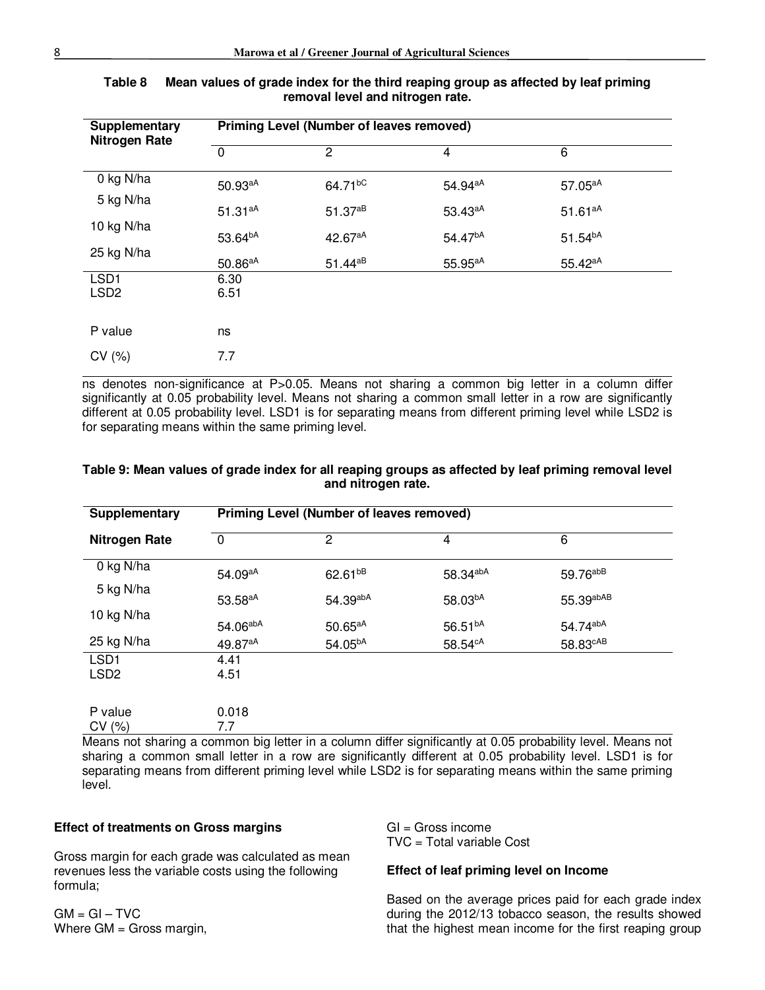| <b>Supplementary</b><br><b>Nitrogen Rate</b> | <b>Priming Level (Number of leaves removed)</b> |                     |                     |                     |  |
|----------------------------------------------|-------------------------------------------------|---------------------|---------------------|---------------------|--|
|                                              | $\Omega$                                        | 2                   | 4                   | 6                   |  |
| 0 kg N/ha                                    | 50.93aA                                         | 64.71 <sup>bC</sup> | 54.94 <sup>aA</sup> | 57.05 <sup>aA</sup> |  |
| 5 kg N/ha                                    | $51.31^{aA}$                                    | $51.37^{aB}$        | 53.43 <sup>aA</sup> | $51.61^{aA}$        |  |
| 10 kg N/ha<br>25 kg N/ha                     | 53.64 <sup>bA</sup>                             | 42.67 <sup>aA</sup> | 54.47 <sup>bA</sup> | $51.54^{bA}$        |  |
|                                              | $50.86^{aA}$                                    | 51.44 <sup>aB</sup> | 55.95 <sup>aA</sup> | 55.42 <sup>aA</sup> |  |
| LSD <sub>1</sub><br>LSD <sub>2</sub>         | 6.30<br>6.51                                    |                     |                     |                     |  |
| P value                                      | ns                                              |                     |                     |                     |  |
| CV(%)                                        | 7.7                                             |                     |                     |                     |  |

| Table 8 | Mean values of grade index for the third reaping group as affected by leaf priming |
|---------|------------------------------------------------------------------------------------|
|         | removal level and nitrogen rate.                                                   |

ns denotes non-significance at P>0.05. Means not sharing a common big letter in a column differ significantly at 0.05 probability level. Means not sharing a common small letter in a row are significantly different at 0.05 probability level. LSD1 is for separating means from different priming level while LSD2 is for separating means within the same priming level.

| Supplementary                        | <b>Priming Level (Number of leaves removed)</b> |                     |                     |                      |  |
|--------------------------------------|-------------------------------------------------|---------------------|---------------------|----------------------|--|
| <b>Nitrogen Rate</b>                 | $\Omega$                                        | 2                   | 4                   | 6                    |  |
| 0 kg N/ha                            | 54.09aA                                         | 62.61 <sup>bB</sup> | 58.34abA            | 59.76abB             |  |
| 5 kg N/ha                            | 53.58 <sup>aA</sup>                             | 54.39abA            | 58.03bA             | 55.39abAB            |  |
| 10 kg N/ha                           | 54.06abA                                        | 50.65aA             | 56.51 <sup>bA</sup> | 54.74abA             |  |
| 25 kg N/ha                           | 49.87 <sup>aA</sup>                             | 54.05 <sup>bA</sup> | 58.54 <sup>cA</sup> | 58.83 <sup>cAB</sup> |  |
| LSD <sub>1</sub><br>LSD <sub>2</sub> | 4.41                                            |                     |                     |                      |  |
|                                      | 4.51                                            |                     |                     |                      |  |
| P value<br>CV(%)                     | 0.018<br>7.7                                    |                     |                     |                      |  |

#### **Table 9: Mean values of grade index for all reaping groups as affected by leaf priming removal level and nitrogen rate.**

Means not sharing a common big letter in a column differ significantly at 0.05 probability level. Means not sharing a common small letter in a row are significantly different at 0.05 probability level. LSD1 is for separating means from different priming level while LSD2 is for separating means within the same priming level.

#### **Effect of treatments on Gross margins**

Gross margin for each grade was calculated as mean revenues less the variable costs using the following formula;

 $GM = GI - TVC$ Where GM = Gross margin,  $Gl = Gross$  income TVC = Total variable Cost

#### **Effect of leaf priming level on Income**

Based on the average prices paid for each grade index during the 2012/13 tobacco season, the results showed that the highest mean income for the first reaping group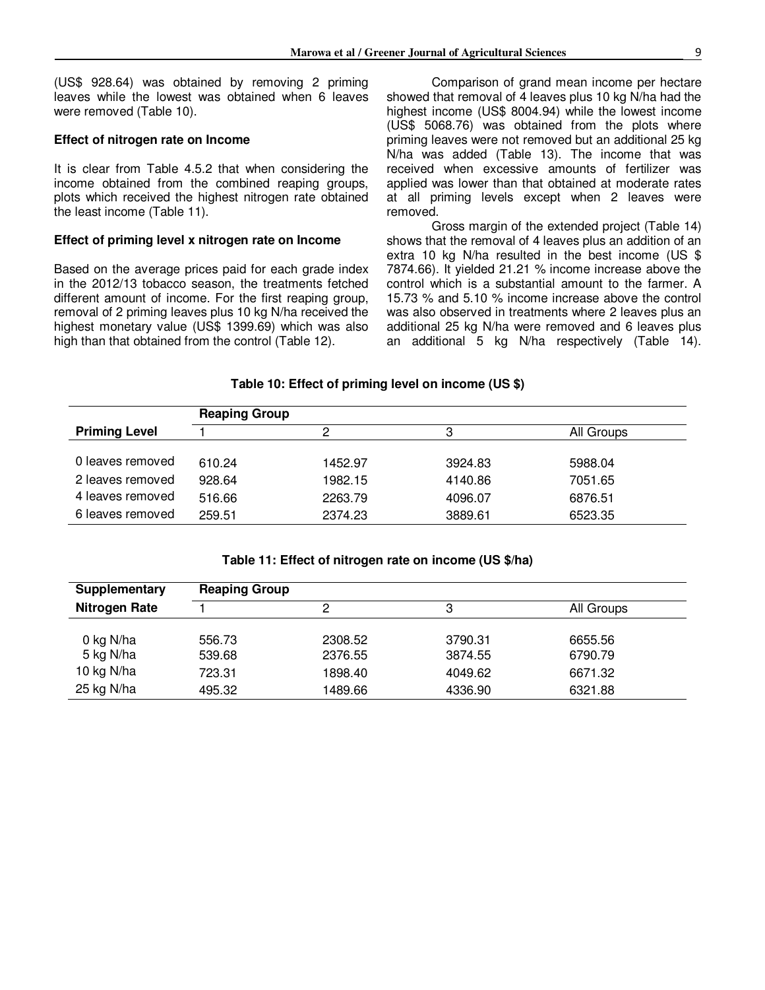(US\$ 928.64) was obtained by removing 2 priming leaves while the lowest was obtained when 6 leaves were removed (Table 10).

#### **Effect of nitrogen rate on Income**

It is clear from Table 4.5.2 that when considering the income obtained from the combined reaping groups, plots which received the highest nitrogen rate obtained the least income (Table 11).

#### **Effect of priming level x nitrogen rate on Income**

Based on the average prices paid for each grade index in the 2012/13 tobacco season, the treatments fetched different amount of income. For the first reaping group, removal of 2 priming leaves plus 10 kg N/ha received the highest monetary value (US\$ 1399.69) which was also high than that obtained from the control (Table 12).

Comparison of grand mean income per hectare showed that removal of 4 leaves plus 10 kg N/ha had the highest income (US\$ 8004.94) while the lowest income (US\$ 5068.76) was obtained from the plots where priming leaves were not removed but an additional 25 kg N/ha was added (Table 13). The income that was received when excessive amounts of fertilizer was applied was lower than that obtained at moderate rates at all priming levels except when 2 leaves were removed.

Gross margin of the extended project (Table 14) shows that the removal of 4 leaves plus an addition of an extra 10 kg N/ha resulted in the best income (US \$ 7874.66). It yielded 21.21 % income increase above the control which is a substantial amount to the farmer. A 15.73 % and 5.10 % income increase above the control was also observed in treatments where 2 leaves plus an additional 25 kg N/ha were removed and 6 leaves plus an additional 5 kg N/ha respectively (Table 14).

#### **Table 10: Effect of priming level on income (US \$)**

|                      | <b>Reaping Group</b> |         |         |            |  |
|----------------------|----------------------|---------|---------|------------|--|
| <b>Priming Level</b> |                      |         |         | All Groups |  |
|                      |                      |         |         |            |  |
| 0 leaves removed     | 610.24               | 1452.97 | 3924.83 | 5988.04    |  |
| 2 leaves removed     | 928.64               | 1982.15 | 4140.86 | 7051.65    |  |
| 4 leaves removed     | 516.66               | 2263.79 | 4096.07 | 6876.51    |  |
| 6 leaves removed     | 259.51               | 2374.23 | 3889.61 | 6523.35    |  |

#### **Table 11: Effect of nitrogen rate on income (US \$/ha)**

| Supplementary        | <b>Reaping Group</b> |         |         |            |  |
|----------------------|----------------------|---------|---------|------------|--|
| <b>Nitrogen Rate</b> |                      | ົ       | 3       | All Groups |  |
|                      |                      |         |         |            |  |
| 0 kg N/ha            | 556.73               | 2308.52 | 3790.31 | 6655.56    |  |
| 5 kg N/ha            | 539.68               | 2376.55 | 3874.55 | 6790.79    |  |
| 10 kg N/ha           | 723.31               | 1898.40 | 4049.62 | 6671.32    |  |
| 25 kg N/ha           | 495.32               | 1489.66 | 4336.90 | 6321.88    |  |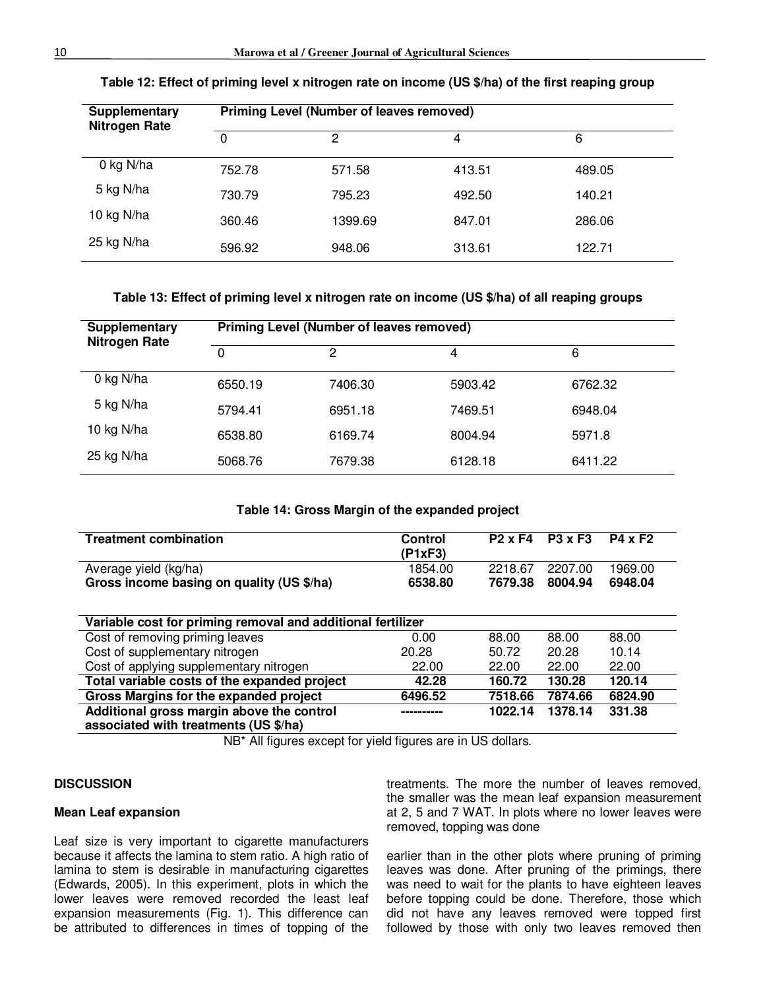| Supplementary<br><b>Nitrogen Rate</b> |          | <b>Priming Level (Number of leaves removed)</b> |        |        |  |
|---------------------------------------|----------|-------------------------------------------------|--------|--------|--|
|                                       | $\Omega$ | 2                                               |        | 6      |  |
| 0 kg N/ha                             | 752.78   | 571.58                                          | 413.51 | 489.05 |  |
| 5 kg N/ha                             | 730.79   | 795.23                                          | 492.50 | 140.21 |  |
| 10 kg N/ha                            | 360.46   | 1399.69                                         | 847.01 | 286.06 |  |
| 25 kg N/ha                            | 596.92   | 948.06                                          | 313.61 | 122.71 |  |

#### **Table 12: Effect of priming level x nitrogen rate on income (US \$/ha) of the first reaping group**

#### **Table 13: Effect of priming level x nitrogen rate on income (US \$/ha) of all reaping groups**

| Supplementary<br><b>Nitrogen Rate</b> | <b>Priming Level (Number of leaves removed)</b> |         |         |         |  |
|---------------------------------------|-------------------------------------------------|---------|---------|---------|--|
|                                       | 0                                               | 2       | 4       | 6       |  |
| 0 kg N/ha                             | 6550.19                                         | 7406.30 | 5903.42 | 6762.32 |  |
| 5 kg N/ha                             | 5794.41                                         | 6951.18 | 7469.51 | 6948.04 |  |
| 10 kg N/ha                            | 6538.80                                         | 6169.74 | 8004.94 | 5971.8  |  |
| 25 kg N/ha                            | 5068.76                                         | 7679.38 | 6128.18 | 6411.22 |  |

#### **Table 14: Gross Margin of the expanded project**

| <b>Treatment combination</b>                                                       | Control<br>(P1xF3) | $P2 \times F4$ | <b>P3 x F3</b> | <b>P4 x F2</b> |  |  |
|------------------------------------------------------------------------------------|--------------------|----------------|----------------|----------------|--|--|
| Average yield (kg/ha)                                                              | 1854.00            | 2218.67        | 2207.00        | 1969.00        |  |  |
| Gross income basing on quality (US \$/ha)                                          | 6538.80            | 7679.38        | 8004.94        | 6948.04        |  |  |
| Variable cost for priming removal and additional fertilizer                        |                    |                |                |                |  |  |
| Cost of removing priming leaves                                                    | 0.00               | 88.00          | 88.00          | 88.00          |  |  |
| Cost of supplementary nitrogen                                                     | 20.28              | 50.72          | 20.28          | 10.14          |  |  |
| Cost of applying supplementary nitrogen                                            | 22.00              | 22.00          | 22.00          | 22.00          |  |  |
| Total variable costs of the expanded project                                       | 42.28              | 160.72         | 130.28         | 120.14         |  |  |
| Gross Margins for the expanded project                                             | 6496.52            | 7518.66        | 7874.66        | 6824.90        |  |  |
| Additional gross margin above the control<br>associated with treatments (US \$/ha) |                    | 1022.14        | 1378.14        | 331.38         |  |  |

NB\* All figures except for yield figures are in US dollars.

#### **DISCUSSION**

#### **Mean Leaf expansion**

Leaf size is very important to cigarette manufacturers because it affects the lamina to stem ratio. A high ratio of lamina to stem is desirable in manufacturing cigarettes (Edwards, 2005). In this experiment, plots in which the lower leaves were removed recorded the least leaf expansion measurements (Fig. 1). This difference can be attributed to differences in times of topping of the

treatments. The more the number of leaves removed, the smaller was the mean leaf expansion measurement at 2, 5 and 7 WAT. In plots where no lower leaves were removed, topping was done

earlier than in the other plots where pruning of priming leaves was done. After pruning of the primings, there was need to wait for the plants to have eighteen leaves before topping could be done. Therefore, those which did not have any leaves removed were topped first followed by those with only two leaves removed then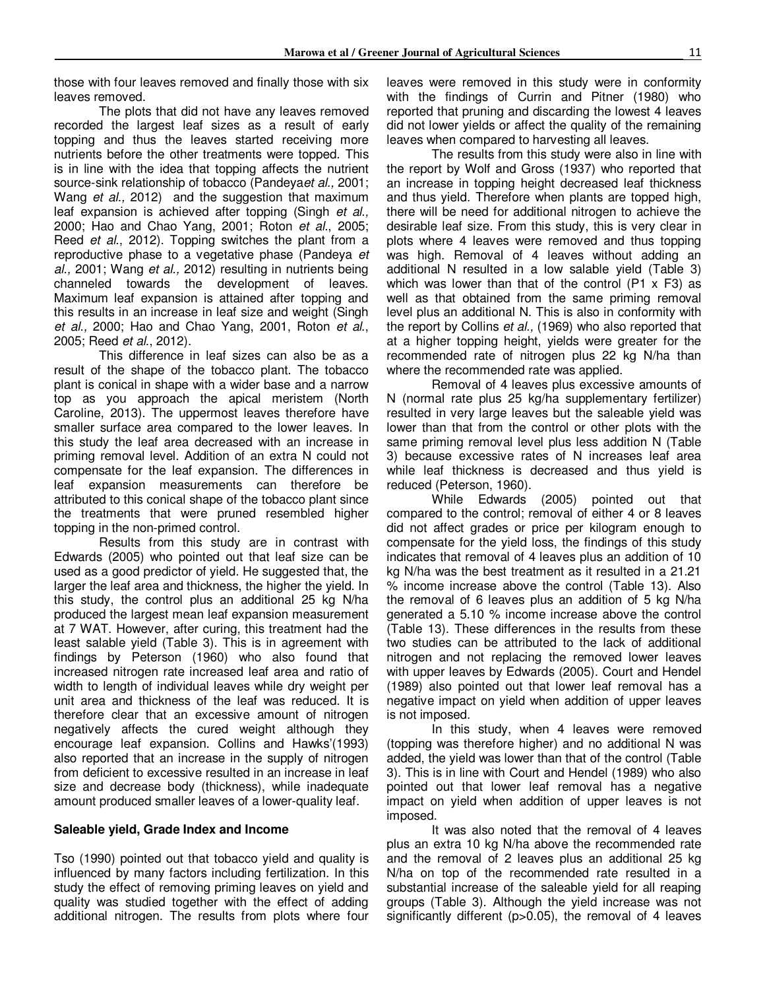those with four leaves removed and finally those with six leaves removed.

The plots that did not have any leaves removed recorded the largest leaf sizes as a result of early topping and thus the leaves started receiving more nutrients before the other treatments were topped. This is in line with the idea that topping affects the nutrient source-sink relationship of tobacco (Pandeya*et al.,* 2001; Wang *et al.,* 2012) and the suggestion that maximum leaf expansion is achieved after topping (Singh *et al.,*  2000; Hao and Chao Yang, 2001; Roton *et al*., 2005; Reed *et al*., 2012). Topping switches the plant from a reproductive phase to a vegetative phase (Pandeya *et al.,* 2001; Wang *et al.,* 2012) resulting in nutrients being channeled towards the development of leaves. Maximum leaf expansion is attained after topping and this results in an increase in leaf size and weight (Singh *et al.,* 2000; Hao and Chao Yang, 2001, Roton *et al*., 2005; Reed *et al*., 2012).

This difference in leaf sizes can also be as a result of the shape of the tobacco plant. The tobacco plant is conical in shape with a wider base and a narrow top as you approach the apical meristem (North Caroline, 2013). The uppermost leaves therefore have smaller surface area compared to the lower leaves. In this study the leaf area decreased with an increase in priming removal level. Addition of an extra N could not compensate for the leaf expansion. The differences in leaf expansion measurements can therefore be attributed to this conical shape of the tobacco plant since the treatments that were pruned resembled higher topping in the non-primed control.

Results from this study are in contrast with Edwards (2005) who pointed out that leaf size can be used as a good predictor of yield. He suggested that, the larger the leaf area and thickness, the higher the yield. In this study, the control plus an additional 25 kg N/ha produced the largest mean leaf expansion measurement at 7 WAT. However, after curing, this treatment had the least salable yield (Table 3). This is in agreement with findings by Peterson (1960) who also found that increased nitrogen rate increased leaf area and ratio of width to length of individual leaves while dry weight per unit area and thickness of the leaf was reduced. It is therefore clear that an excessive amount of nitrogen negatively affects the cured weight although they encourage leaf expansion. Collins and Hawks'(1993) also reported that an increase in the supply of nitrogen from deficient to excessive resulted in an increase in leaf size and decrease body (thickness), while inadequate amount produced smaller leaves of a lower-quality leaf.

#### **Saleable yield, Grade Index and Income**

Tso (1990) pointed out that tobacco yield and quality is influenced by many factors including fertilization. In this study the effect of removing priming leaves on yield and quality was studied together with the effect of adding additional nitrogen. The results from plots where four leaves were removed in this study were in conformity with the findings of Currin and Pitner (1980) who reported that pruning and discarding the lowest 4 leaves did not lower yields or affect the quality of the remaining leaves when compared to harvesting all leaves.

The results from this study were also in line with the report by Wolf and Gross (1937) who reported that an increase in topping height decreased leaf thickness and thus yield. Therefore when plants are topped high, there will be need for additional nitrogen to achieve the desirable leaf size. From this study, this is very clear in plots where 4 leaves were removed and thus topping was high. Removal of 4 leaves without adding an additional N resulted in a low salable yield (Table 3) which was lower than that of the control (P1 x F3) as well as that obtained from the same priming removal level plus an additional N. This is also in conformity with the report by Collins *et al.,* (1969) who also reported that at a higher topping height, yields were greater for the recommended rate of nitrogen plus 22 kg N/ha than where the recommended rate was applied.

Removal of 4 leaves plus excessive amounts of N (normal rate plus 25 kg/ha supplementary fertilizer) resulted in very large leaves but the saleable yield was lower than that from the control or other plots with the same priming removal level plus less addition N (Table 3) because excessive rates of N increases leaf area while leaf thickness is decreased and thus yield is reduced (Peterson, 1960).

While Edwards (2005) pointed out that compared to the control; removal of either 4 or 8 leaves did not affect grades or price per kilogram enough to compensate for the yield loss, the findings of this study indicates that removal of 4 leaves plus an addition of 10 kg N/ha was the best treatment as it resulted in a 21.21 % income increase above the control (Table 13). Also the removal of 6 leaves plus an addition of 5 kg N/ha generated a 5.10 % income increase above the control (Table 13). These differences in the results from these two studies can be attributed to the lack of additional nitrogen and not replacing the removed lower leaves with upper leaves by Edwards (2005). Court and Hendel (1989) also pointed out that lower leaf removal has a negative impact on yield when addition of upper leaves is not imposed.

In this study, when 4 leaves were removed (topping was therefore higher) and no additional N was added, the yield was lower than that of the control (Table 3). This is in line with Court and Hendel (1989) who also pointed out that lower leaf removal has a negative impact on yield when addition of upper leaves is not imposed.

It was also noted that the removal of 4 leaves plus an extra 10 kg N/ha above the recommended rate and the removal of 2 leaves plus an additional 25 kg N/ha on top of the recommended rate resulted in a substantial increase of the saleable yield for all reaping groups (Table 3). Although the yield increase was not significantly different (p>0.05), the removal of 4 leaves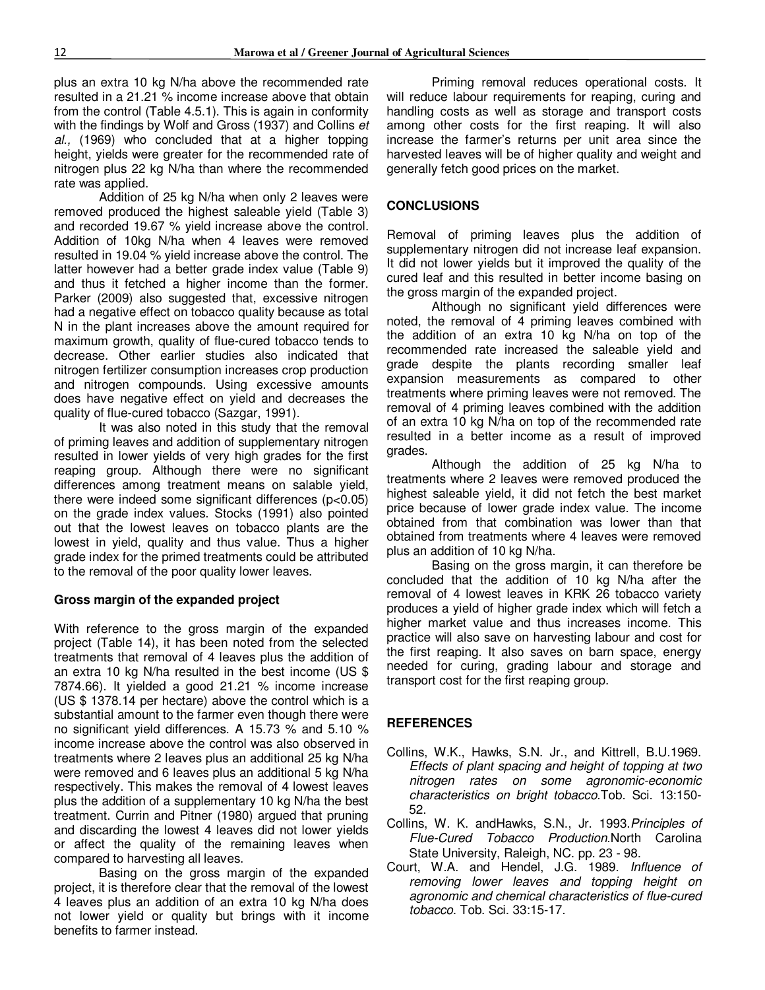plus an extra 10 kg N/ha above the recommended rate resulted in a 21.21 % income increase above that obtain from the control (Table 4.5.1). This is again in conformity with the findings by Wolf and Gross (1937) and Collins *et al.,* (1969) who concluded that at a higher topping height, yields were greater for the recommended rate of nitrogen plus 22 kg N/ha than where the recommended rate was applied.

Addition of 25 kg N/ha when only 2 leaves were removed produced the highest saleable yield (Table 3) and recorded 19.67 % yield increase above the control. Addition of 10kg N/ha when 4 leaves were removed resulted in 19.04 % yield increase above the control. The latter however had a better grade index value (Table 9) and thus it fetched a higher income than the former. Parker (2009) also suggested that, excessive nitrogen had a negative effect on tobacco quality because as total N in the plant increases above the amount required for maximum growth, quality of flue-cured tobacco tends to decrease. Other earlier studies also indicated that nitrogen fertilizer consumption increases crop production and nitrogen compounds. Using excessive amounts does have negative effect on yield and decreases the quality of flue-cured tobacco (Sazgar, 1991).

It was also noted in this study that the removal of priming leaves and addition of supplementary nitrogen resulted in lower yields of very high grades for the first reaping group. Although there were no significant differences among treatment means on salable yield, there were indeed some significant differences  $(p<0.05)$ on the grade index values. Stocks (1991) also pointed out that the lowest leaves on tobacco plants are the lowest in yield, quality and thus value. Thus a higher grade index for the primed treatments could be attributed to the removal of the poor quality lower leaves.

#### **Gross margin of the expanded project**

With reference to the gross margin of the expanded project (Table 14), it has been noted from the selected treatments that removal of 4 leaves plus the addition of an extra 10 kg N/ha resulted in the best income (US \$ 7874.66). It yielded a good 21.21 % income increase (US \$ 1378.14 per hectare) above the control which is a substantial amount to the farmer even though there were no significant yield differences. A 15.73 % and 5.10 % income increase above the control was also observed in treatments where 2 leaves plus an additional 25 kg N/ha were removed and 6 leaves plus an additional 5 kg N/ha respectively. This makes the removal of 4 lowest leaves plus the addition of a supplementary 10 kg N/ha the best treatment. Currin and Pitner (1980) argued that pruning and discarding the lowest 4 leaves did not lower yields or affect the quality of the remaining leaves when compared to harvesting all leaves.

Basing on the gross margin of the expanded project, it is therefore clear that the removal of the lowest 4 leaves plus an addition of an extra 10 kg N/ha does not lower yield or quality but brings with it income benefits to farmer instead.

Priming removal reduces operational costs. It will reduce labour requirements for reaping, curing and handling costs as well as storage and transport costs among other costs for the first reaping. It will also increase the farmer's returns per unit area since the harvested leaves will be of higher quality and weight and generally fetch good prices on the market.

#### **CONCLUSIONS**

Removal of priming leaves plus the addition of supplementary nitrogen did not increase leaf expansion. It did not lower yields but it improved the quality of the cured leaf and this resulted in better income basing on the gross margin of the expanded project.

Although no significant yield differences were noted, the removal of 4 priming leaves combined with the addition of an extra 10 kg N/ha on top of the recommended rate increased the saleable yield and grade despite the plants recording smaller leaf expansion measurements as compared to other treatments where priming leaves were not removed. The removal of 4 priming leaves combined with the addition of an extra 10 kg N/ha on top of the recommended rate resulted in a better income as a result of improved grades.

Although the addition of 25 kg N/ha to treatments where 2 leaves were removed produced the highest saleable yield, it did not fetch the best market price because of lower grade index value. The income obtained from that combination was lower than that obtained from treatments where 4 leaves were removed plus an addition of 10 kg N/ha.

Basing on the gross margin, it can therefore be concluded that the addition of 10 kg N/ha after the removal of 4 lowest leaves in KRK 26 tobacco variety produces a yield of higher grade index which will fetch a higher market value and thus increases income. This practice will also save on harvesting labour and cost for the first reaping. It also saves on barn space, energy needed for curing, grading labour and storage and transport cost for the first reaping group.

### **REFERENCES**

- Collins, W.K., Hawks, S.N. Jr., and Kittrell, B.U.1969. *Effects of plant spacing and height of topping at two nitrogen rates on some agronomic-economic characteristics on bright tobacco*.Tob. Sci. 13:150- 52.
- Collins, W. K. andHawks, S.N., Jr. 1993.*Principles of Flue-Cured Tobacco Production*.North Carolina State University, Raleigh, NC. pp. 23 - 98.
- Court, W.A. and Hendel, J.G. 1989. *Influence of removing lower leaves and topping height on agronomic and chemical characteristics of flue-cured tobacco*. Tob. Sci. 33:15-17.